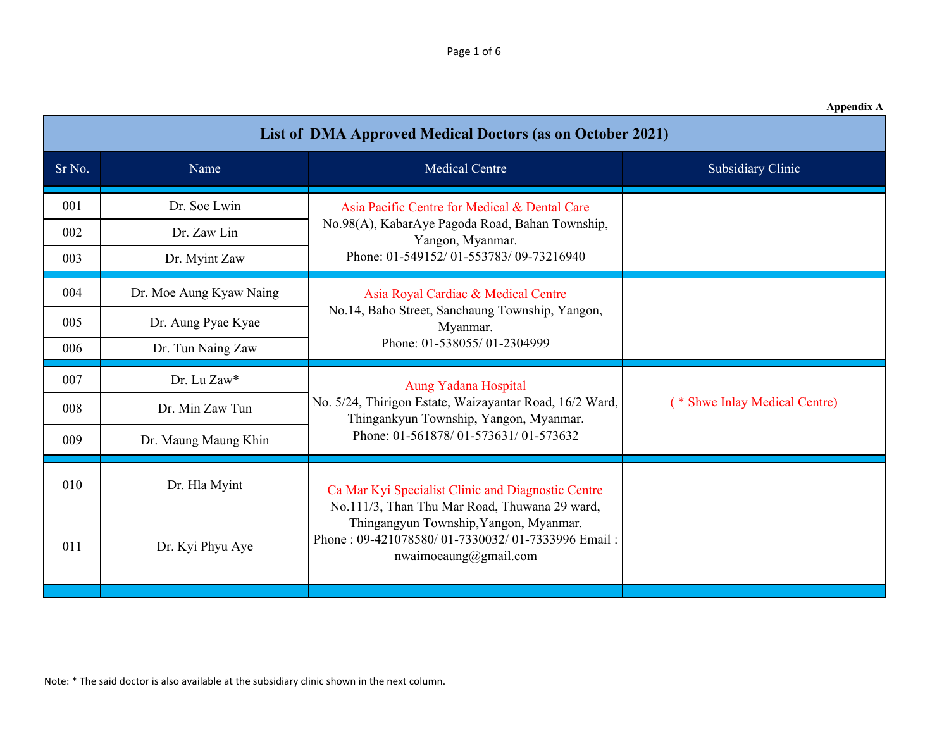| <b>Appendix A</b> |  |
|-------------------|--|
|-------------------|--|

| <b>List of DMA Approved Medical Doctors (as on October 2021)</b> |                         |                                                                                                                                                                                                                            |                               |
|------------------------------------------------------------------|-------------------------|----------------------------------------------------------------------------------------------------------------------------------------------------------------------------------------------------------------------------|-------------------------------|
| Sr No.                                                           | Name                    | <b>Medical Centre</b>                                                                                                                                                                                                      | <b>Subsidiary Clinic</b>      |
| 001                                                              | Dr. Soe Lwin            | Asia Pacific Centre for Medical & Dental Care                                                                                                                                                                              |                               |
| 002                                                              | Dr. Zaw Lin             | No.98(A), KabarAye Pagoda Road, Bahan Township,<br>Yangon, Myanmar.                                                                                                                                                        |                               |
| 003                                                              | Dr. Myint Zaw           | Phone: 01-549152/01-553783/09-73216940                                                                                                                                                                                     |                               |
| 004                                                              | Dr. Moe Aung Kyaw Naing | Asia Royal Cardiac & Medical Centre<br>No.14, Baho Street, Sanchaung Township, Yangon,<br>Myanmar.<br>Phone: 01-538055/01-2304999                                                                                          |                               |
| 005                                                              | Dr. Aung Pyae Kyae      |                                                                                                                                                                                                                            |                               |
| 006                                                              | Dr. Tun Naing Zaw       |                                                                                                                                                                                                                            |                               |
| 007                                                              | Dr. Lu Zaw*             | Aung Yadana Hospital<br>No. 5/24, Thirigon Estate, Waizayantar Road, 16/2 Ward,<br>Thingankyun Township, Yangon, Myanmar.<br>Phone: 01-561878/01-573631/01-573632                                                          |                               |
| 008                                                              | Dr. Min Zaw Tun         |                                                                                                                                                                                                                            | (* Shwe Inlay Medical Centre) |
| 009                                                              | Dr. Maung Maung Khin    |                                                                                                                                                                                                                            |                               |
| 010                                                              | Dr. Hla Myint           | Ca Mar Kyi Specialist Clinic and Diagnostic Centre<br>No.111/3, Than Thu Mar Road, Thuwana 29 ward,<br>Thingangyun Township, Yangon, Myanmar.<br>Phone: 09-421078580/01-7330032/01-7333996 Email:<br>nwaimoeaung@gmail.com |                               |
| 011                                                              | Dr. Kyi Phyu Aye        |                                                                                                                                                                                                                            |                               |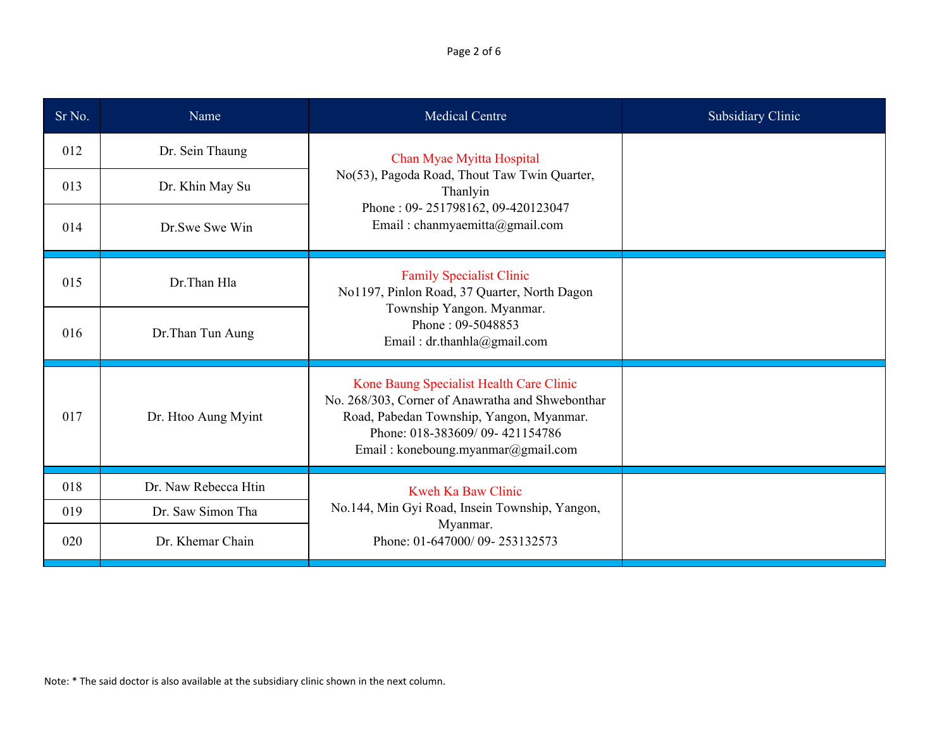Page 2 of 6

| Sr No. | Name                 | <b>Medical Centre</b>                                                                                                                                                                                            | Subsidiary Clinic |
|--------|----------------------|------------------------------------------------------------------------------------------------------------------------------------------------------------------------------------------------------------------|-------------------|
| 012    | Dr. Sein Thaung      | Chan Myae Myitta Hospital<br>No(53), Pagoda Road, Thout Taw Twin Quarter,<br>Thanlyin<br>Phone: 09-251798162, 09-420123047<br>Email: chanmyaemitta@gmail.com                                                     |                   |
| 013    | Dr. Khin May Su      |                                                                                                                                                                                                                  |                   |
| 014    | Dr.Swe Swe Win       |                                                                                                                                                                                                                  |                   |
| 015    | Dr.Than Hla          | <b>Family Specialist Clinic</b><br>No1197, Pinlon Road, 37 Quarter, North Dagon<br>Township Yangon. Myanmar.<br>Phone: 09-5048853<br>Email: dr.thanhla@gmail.com                                                 |                   |
| 016    | Dr.Than Tun Aung     |                                                                                                                                                                                                                  |                   |
| 017    | Dr. Htoo Aung Myint  | Kone Baung Specialist Health Care Clinic<br>No. 268/303, Corner of Anawratha and Shwebonthar<br>Road, Pabedan Township, Yangon, Myanmar.<br>Phone: 018-383609/09-421154786<br>Email: koneboung.myanmar@gmail.com |                   |
| 018    | Dr. Naw Rebecca Htin | Kweh Ka Baw Clinic<br>No.144, Min Gyi Road, Insein Township, Yangon,<br>Myanmar.<br>Phone: 01-647000/09-253132573                                                                                                |                   |
| 019    | Dr. Saw Simon Tha    |                                                                                                                                                                                                                  |                   |
| 020    | Dr. Khemar Chain     |                                                                                                                                                                                                                  |                   |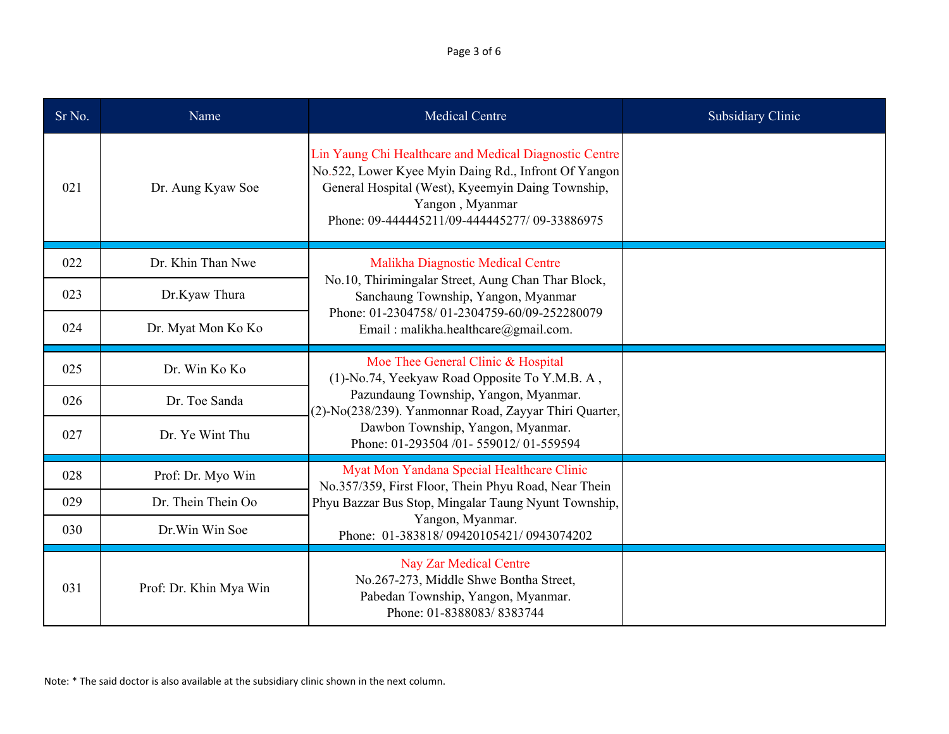Page 3 of 6

| Sr No. | Name                   | <b>Medical Centre</b>                                                                                                                                                                                                                   | <b>Subsidiary Clinic</b> |
|--------|------------------------|-----------------------------------------------------------------------------------------------------------------------------------------------------------------------------------------------------------------------------------------|--------------------------|
| 021    | Dr. Aung Kyaw Soe      | Lin Yaung Chi Healthcare and Medical Diagnostic Centre<br>No.522, Lower Kyee Myin Daing Rd., Infront Of Yangon<br>General Hospital (West), Kyeemyin Daing Township,<br>Yangon, Myanmar<br>Phone: 09-444445211/09-444445277/ 09-33886975 |                          |
| 022    | Dr. Khin Than Nwe      | Malikha Diagnostic Medical Centre<br>No.10, Thirimingalar Street, Aung Chan Thar Block,<br>Sanchaung Township, Yangon, Myanmar<br>Phone: 01-2304758/01-2304759-60/09-252280079<br>Email: malikha.healthcare@gmail.com.                  |                          |
| 023    | Dr.Kyaw Thura          |                                                                                                                                                                                                                                         |                          |
| 024    | Dr. Myat Mon Ko Ko     |                                                                                                                                                                                                                                         |                          |
| 025    | Dr. Win Ko Ko          | Moe Thee General Clinic & Hospital<br>(1)-No.74, Yeekyaw Road Opposite To Y.M.B. A,                                                                                                                                                     |                          |
| 026    | Dr. Toe Sanda          | Pazundaung Township, Yangon, Myanmar.<br>(2)-No(238/239). Yanmonnar Road, Zayyar Thiri Quarter,                                                                                                                                         |                          |
| 027    | Dr. Ye Wint Thu        | Dawbon Township, Yangon, Myanmar.<br>Phone: 01-293504 /01-559012/01-559594                                                                                                                                                              |                          |
| 028    | Prof: Dr. Myo Win      | Myat Mon Yandana Special Healthcare Clinic<br>No.357/359, First Floor, Thein Phyu Road, Near Thein<br>Phyu Bazzar Bus Stop, Mingalar Taung Nyunt Township,<br>Yangon, Myanmar.<br>Phone: 01-383818/09420105421/0943074202               |                          |
| 029    | Dr. Thein Thein Oo     |                                                                                                                                                                                                                                         |                          |
| 030    | Dr. Win Win Soe        |                                                                                                                                                                                                                                         |                          |
| 031    | Prof: Dr. Khin Mya Win | Nay Zar Medical Centre<br>No.267-273, Middle Shwe Bontha Street,<br>Pabedan Township, Yangon, Myanmar.<br>Phone: 01-8388083/8383744                                                                                                     |                          |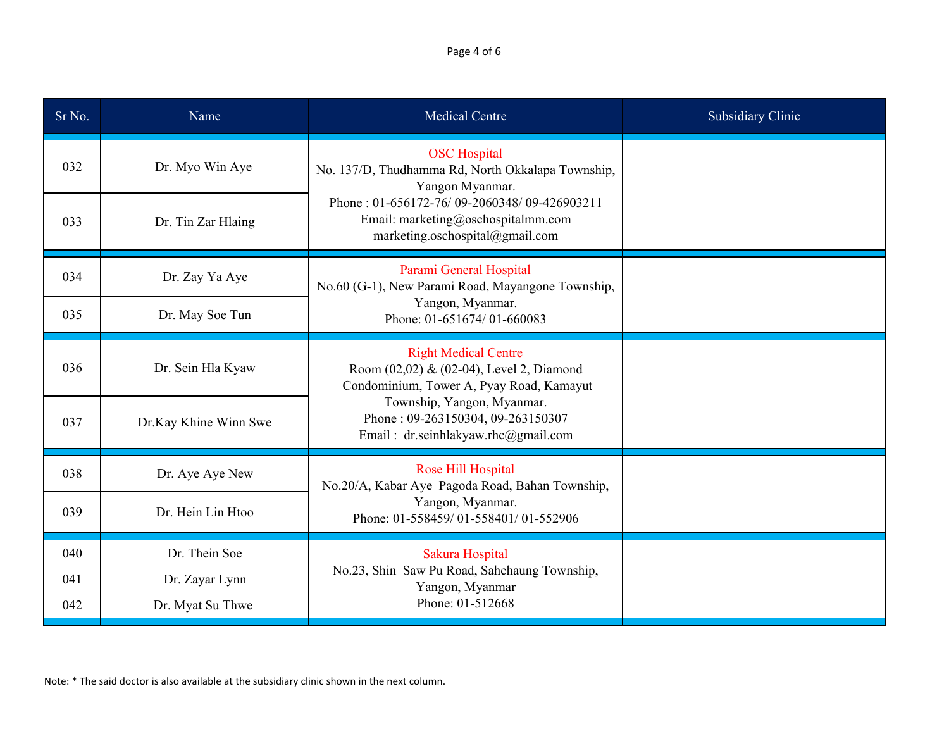Page 4 of 6

| Sr No. | Name                  | <b>Medical Centre</b>                                                                                                | <b>Subsidiary Clinic</b> |
|--------|-----------------------|----------------------------------------------------------------------------------------------------------------------|--------------------------|
| 032    | Dr. Myo Win Aye       | <b>OSC</b> Hospital<br>No. 137/D, Thudhamma Rd, North Okkalapa Township,<br>Yangon Myanmar.                          |                          |
| 033    | Dr. Tin Zar Hlaing    | Phone: 01-656172-76/09-2060348/09-426903211<br>Email: marketing@oschospitalmm.com<br>marketing.oschospital@gmail.com |                          |
| 034    | Dr. Zay Ya Aye        | Parami General Hospital<br>No.60 (G-1), New Parami Road, Mayangone Township,                                         |                          |
| 035    | Dr. May Soe Tun       | Yangon, Myanmar.<br>Phone: 01-651674/01-660083                                                                       |                          |
| 036    | Dr. Sein Hla Kyaw     | <b>Right Medical Centre</b><br>Room (02,02) & (02-04), Level 2, Diamond<br>Condominium, Tower A, Pyay Road, Kamayut  |                          |
| 037    | Dr.Kay Khine Winn Swe | Township, Yangon, Myanmar.<br>Phone: 09-263150304, 09-263150307<br>Email: dr.seinhlakyaw.rhc@gmail.com               |                          |
| 038    | Dr. Aye Aye New       | Rose Hill Hospital<br>No.20/A, Kabar Aye Pagoda Road, Bahan Township,                                                |                          |
| 039    | Dr. Hein Lin Htoo     | Yangon, Myanmar.<br>Phone: 01-558459/01-558401/01-552906                                                             |                          |
| 040    | Dr. Thein Soe         | Sakura Hospital                                                                                                      |                          |
| 041    | Dr. Zayar Lynn        | No.23, Shin Saw Pu Road, Sahchaung Township,<br>Yangon, Myanmar                                                      |                          |
| 042    | Dr. Myat Su Thwe      | Phone: 01-512668                                                                                                     |                          |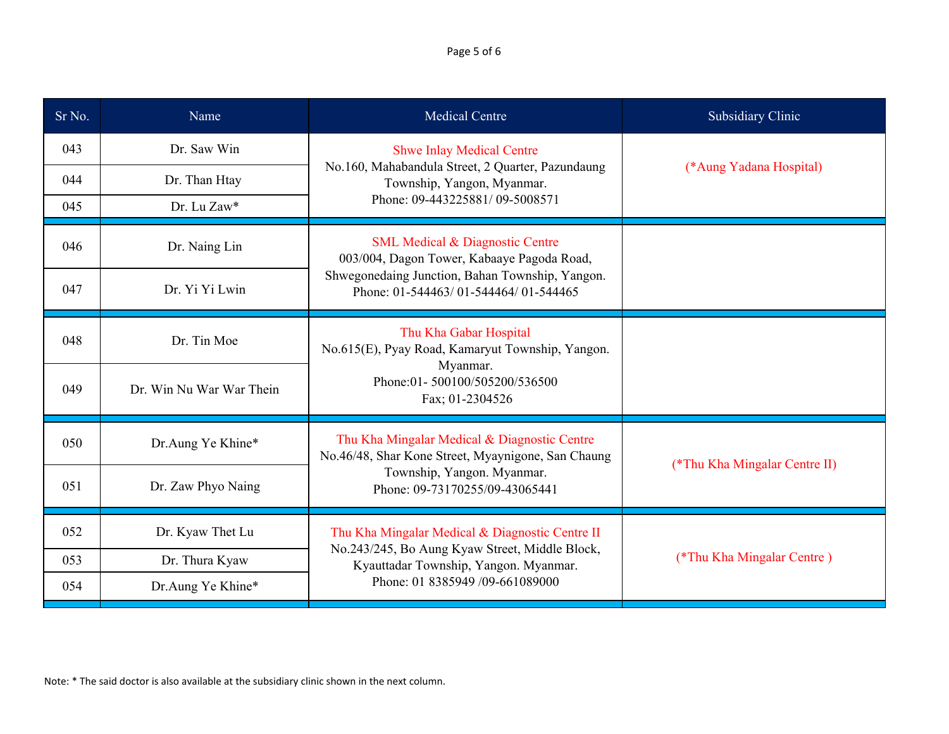## Page 5 of 6

| Sr No. | Name                     | <b>Medical Centre</b>                                                                                                                                                               | Subsidiary Clinic             |
|--------|--------------------------|-------------------------------------------------------------------------------------------------------------------------------------------------------------------------------------|-------------------------------|
| 043    | Dr. Saw Win              | <b>Shwe Inlay Medical Centre</b><br>No.160, Mahabandula Street, 2 Quarter, Pazundaung<br>(*Aung Yadana Hospital)<br>Township, Yangon, Myanmar.                                      |                               |
| 044    | Dr. Than Htay            |                                                                                                                                                                                     |                               |
| 045    | Dr. Lu Zaw*              | Phone: 09-443225881/09-5008571                                                                                                                                                      |                               |
| 046    | Dr. Naing Lin            | <b>SML Medical &amp; Diagnostic Centre</b><br>003/004, Dagon Tower, Kabaaye Pagoda Road,<br>Shwegonedaing Junction, Bahan Township, Yangon.<br>Phone: 01-544463/01-544464/01-544465 |                               |
| 047    | Dr. Yi Yi Lwin           |                                                                                                                                                                                     |                               |
| 048    | Dr. Tin Moe              | Thu Kha Gabar Hospital<br>No.615(E), Pyay Road, Kamaryut Township, Yangon.<br>Myanmar.<br>Phone:01-500100/505200/536500<br>Fax; 01-2304526                                          |                               |
| 049    | Dr. Win Nu War War Thein |                                                                                                                                                                                     |                               |
| 050    | Dr.Aung Ye Khine*        | Thu Kha Mingalar Medical & Diagnostic Centre<br>No.46/48, Shar Kone Street, Myaynigone, San Chaung<br>Township, Yangon. Myanmar.<br>Phone: 09-73170255/09-43065441                  | (*Thu Kha Mingalar Centre II) |
| 051    | Dr. Zaw Phyo Naing       |                                                                                                                                                                                     |                               |
| 052    | Dr. Kyaw Thet Lu         | Thu Kha Mingalar Medical & Diagnostic Centre II<br>No.243/245, Bo Aung Kyaw Street, Middle Block,<br>Kyauttadar Township, Yangon. Myanmar.<br>Phone: 01 8385949 /09-661089000       |                               |
| 053    | Dr. Thura Kyaw           |                                                                                                                                                                                     | (*Thu Kha Mingalar Centre)    |
| 054    | Dr.Aung Ye Khine*        |                                                                                                                                                                                     |                               |